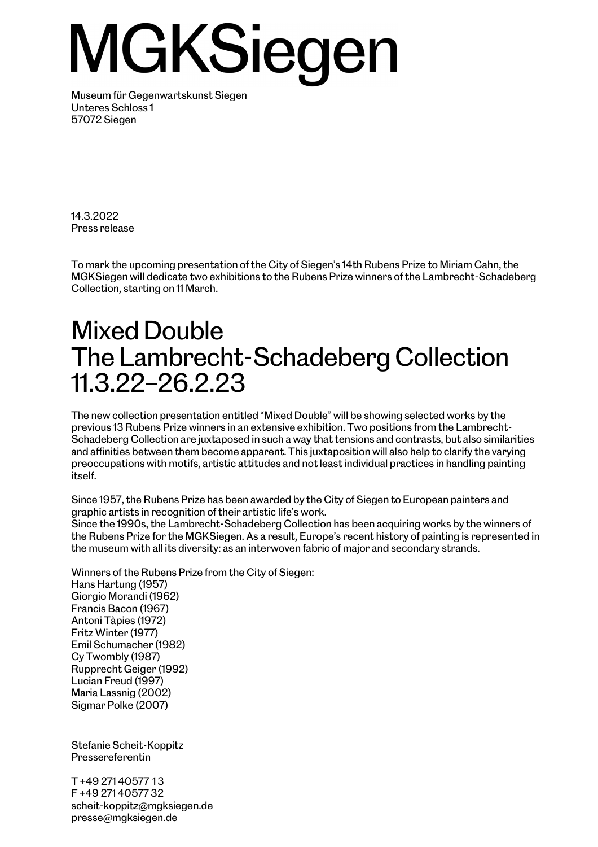## MGKSiegen

Museum für Gegenwartskunst Siegen Unteres Schloss 1 57072 Siegen

14.3.2022 Press release

To mark the upcoming presentation of the City of Siegen's 14th Rubens Prize to Miriam Cahn, the MGKSiegen will dedicate two exhibitions to the Rubens Prize winners of the Lambrecht-Schadeberg Collection, starting on 11 March.

## Mixed Double The Lambrecht-Schadeberg Collection 11.3.22–26.2.23

The new collection presentation entitled "Mixed Double" will be showing selected works by the previous 13 Rubens Prize winners in an extensive exhibition. Two positions from the Lambrecht-Schadeberg Collection are juxtaposed in such a way that tensions and contrasts, but also similarities and affinities between them become apparent. This juxtaposition will also help to clarify the varying preoccupations with motifs, artistic attitudes and not least individual practices in handling painting itself.

Since 1957, the Rubens Prize has been awarded by the City of Siegen to European painters and graphic artists in recognition of their artistic life's work.

Since the 1990s, the Lambrecht-Schadeberg Collection has been acquiring works by the winners of the Rubens Prize for the MGKSiegen. As a result, Europe's recent history of painting is represented in the museum with all its diversity: as an interwoven fabric of major and secondary strands.

Winners of the Rubens Prize from the City of Siegen: Hans Hartung (1957) Giorgio Morandi (1962) Francis Bacon (1967) Antoni Tàpies (1972) Fritz Winter (1977) Emil Schumacher (1982) Cy Twombly (1987) Rupprecht Geiger (1992) Lucian Freud (1997) Maria Lassnig (2002) Sigmar Polke (2007)

Stefanie Scheit-Koppitz Pressereferentin

T +49 271 40577 13 F +49 271 40577 32 scheit-koppitz@mgksiegen.de presse@mgksiegen.de